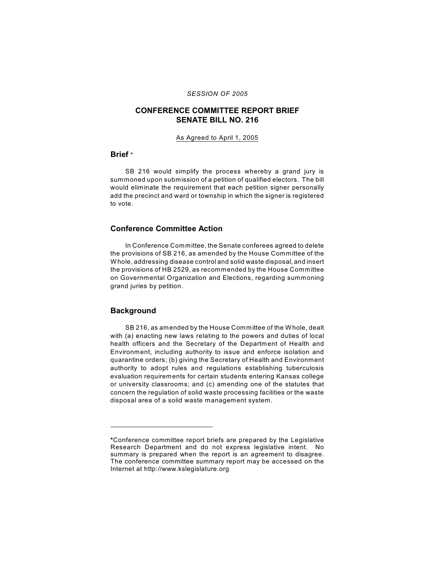### *SESSION OF 2005*

# **CONFERENCE COMMITTEE REPORT BRIEF SENATE BILL NO. 216**

#### As Agreed to April 1, 2005

#### **Brief** \*

SB 216 would simplify the process whereby a grand jury is summoned upon submission of a petition of qualified electors. The bill would eliminate the requirement that each petition signer personally add the precinct and ward or township in which the signer is registered to vote.

## **Conference Committee Action**

In Conference Committee, the Senate conferees agreed to delete the provisions of SB 216, as amended by the House Committee of the W hole, addressing disease control and solid waste disposal, and insert the provisions of HB 2529, as recommended by the House Committee on Governmental Organization and Elections, regarding summoning grand juries by petition.

#### **Background**

SB 216, as amended by the House Committee of the W hole, dealt with (a) enacting new laws relating to the powers and duties of local health officers and the Secretary of the Department of Health and Environment, including authority to issue and enforce isolation and quarantine orders; (b) giving the Secretary of Health and Environment authority to adopt rules and regulations establishing tuberculosis evaluation requirements for certain students entering Kansas college or university classrooms; and (c) amending one of the statutes that concern the regulation of solid waste processing facilities or the waste disposal area of a solid waste management system.

**<sup>\*</sup>**Conference committee report briefs are prepared by the Legislative Research Department and do not express legislative intent. No summary is prepared when the report is an agreement to disagree. The conference committee summary report may be accessed on the Internet at http://www.kslegislature.org